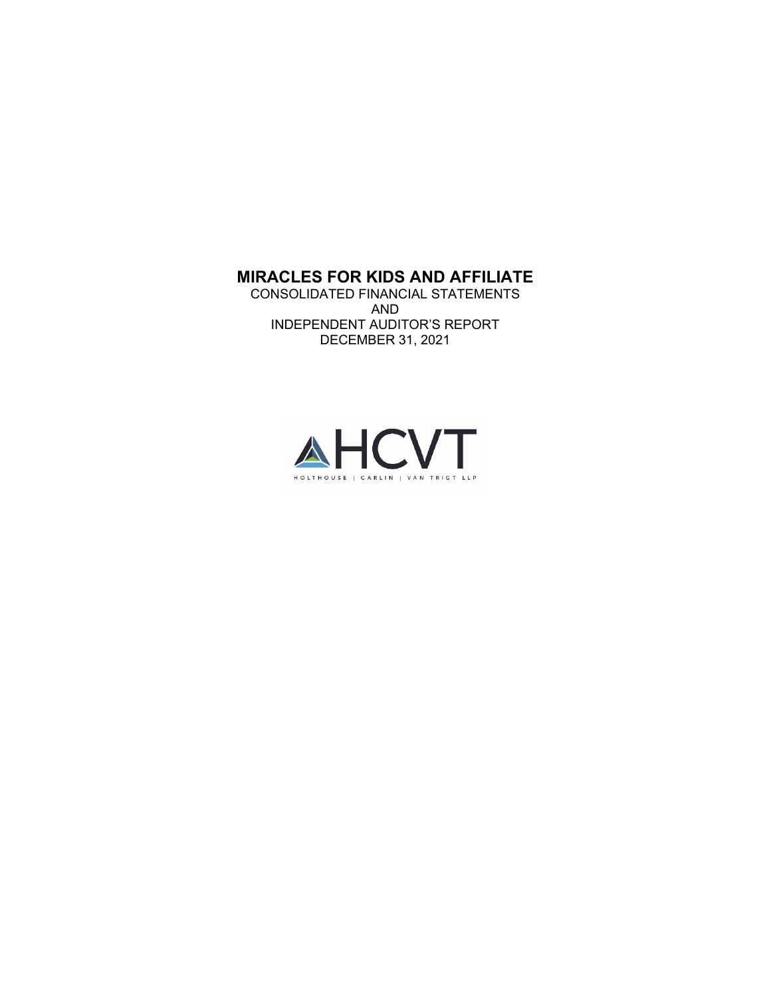**MIRACLES FOR KIDS AND AFFILIATE** 

CONSOLIDATED FINANCIAL STATEMENTS AND INDEPENDENT AUDITOR'S REPORT DECEMBER 31, 2021

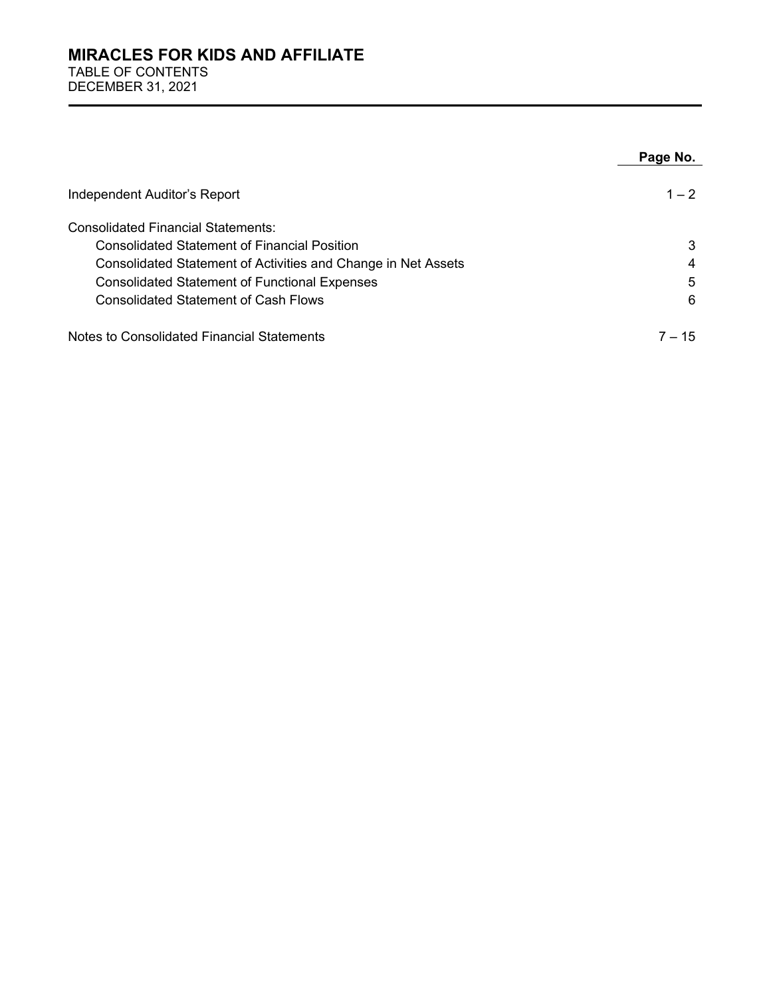|                                                               | Page No. |
|---------------------------------------------------------------|----------|
| Independent Auditor's Report                                  | $1 - 2$  |
| Consolidated Financial Statements:                            |          |
| <b>Consolidated Statement of Financial Position</b>           | 3        |
| Consolidated Statement of Activities and Change in Net Assets | 4        |
| <b>Consolidated Statement of Functional Expenses</b>          | 5        |
| <b>Consolidated Statement of Cash Flows</b>                   | 6        |
| Notes to Consolidated Financial Statements                    | $7 - 15$ |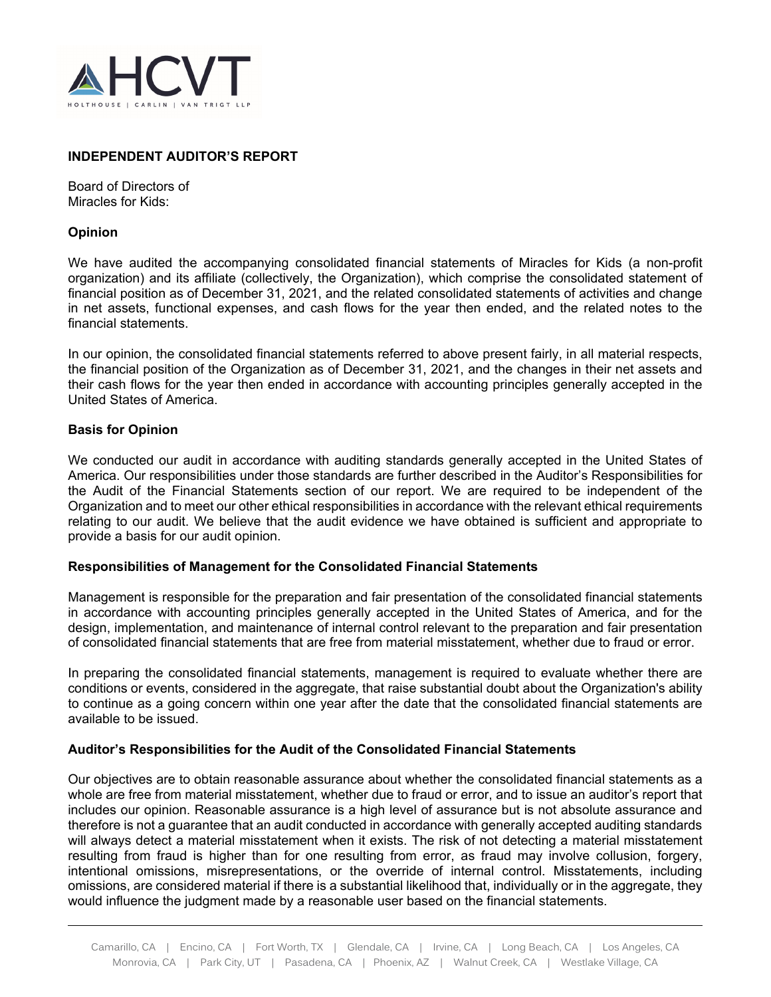

# **INDEPENDENT AUDITOR'S REPORT**

Board of Directors of Miracles for Kids:

# **Opinion**

We have audited the accompanying consolidated financial statements of Miracles for Kids (a non-profit organization) and its affiliate (collectively, the Organization), which comprise the consolidated statement of financial position as of December 31, 2021, and the related consolidated statements of activities and change in net assets, functional expenses, and cash flows for the year then ended, and the related notes to the financial statements.

In our opinion, the consolidated financial statements referred to above present fairly, in all material respects, the financial position of the Organization as of December 31, 2021, and the changes in their net assets and their cash flows for the year then ended in accordance with accounting principles generally accepted in the United States of America.

# **Basis for Opinion**

We conducted our audit in accordance with auditing standards generally accepted in the United States of America. Our responsibilities under those standards are further described in the Auditor's Responsibilities for the Audit of the Financial Statements section of our report. We are required to be independent of the Organization and to meet our other ethical responsibilities in accordance with the relevant ethical requirements relating to our audit. We believe that the audit evidence we have obtained is sufficient and appropriate to provide a basis for our audit opinion.

# **Responsibilities of Management for the Consolidated Financial Statements**

Management is responsible for the preparation and fair presentation of the consolidated financial statements in accordance with accounting principles generally accepted in the United States of America, and for the design, implementation, and maintenance of internal control relevant to the preparation and fair presentation of consolidated financial statements that are free from material misstatement, whether due to fraud or error.

In preparing the consolidated financial statements, management is required to evaluate whether there are conditions or events, considered in the aggregate, that raise substantial doubt about the Organization's ability to continue as a going concern within one year after the date that the consolidated financial statements are available to be issued.

#### **Auditor's Responsibilities for the Audit of the Consolidated Financial Statements**

Our objectives are to obtain reasonable assurance about whether the consolidated financial statements as a whole are free from material misstatement, whether due to fraud or error, and to issue an auditor's report that includes our opinion. Reasonable assurance is a high level of assurance but is not absolute assurance and therefore is not a guarantee that an audit conducted in accordance with generally accepted auditing standards will always detect a material misstatement when it exists. The risk of not detecting a material misstatement resulting from fraud is higher than for one resulting from error, as fraud may involve collusion, forgery, intentional omissions, misrepresentations, or the override of internal control. Misstatements, including omissions, are considered material if there is a substantial likelihood that, individually or in the aggregate, they would influence the judgment made by a reasonable user based on the financial statements.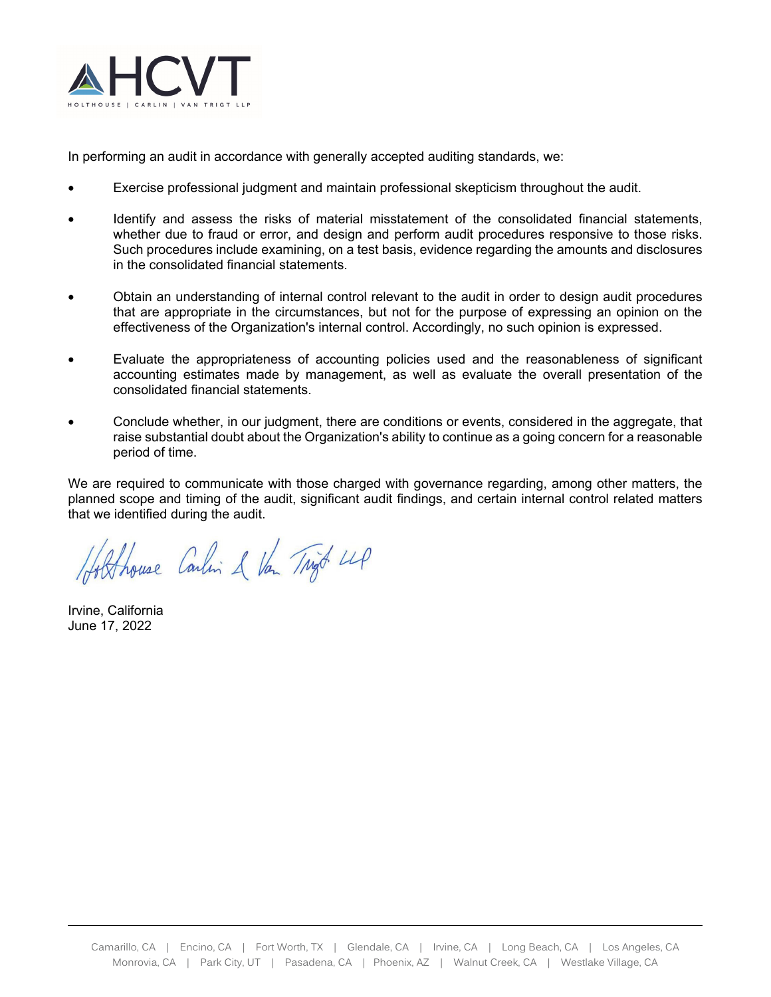

In performing an audit in accordance with generally accepted auditing standards, we:

- Exercise professional judgment and maintain professional skepticism throughout the audit.
- Identify and assess the risks of material misstatement of the consolidated financial statements, whether due to fraud or error, and design and perform audit procedures responsive to those risks. Such procedures include examining, on a test basis, evidence regarding the amounts and disclosures in the consolidated financial statements.
- Obtain an understanding of internal control relevant to the audit in order to design audit procedures that are appropriate in the circumstances, but not for the purpose of expressing an opinion on the effectiveness of the Organization's internal control. Accordingly, no such opinion is expressed.
- Evaluate the appropriateness of accounting policies used and the reasonableness of significant accounting estimates made by management, as well as evaluate the overall presentation of the consolidated financial statements.
- Conclude whether, in our judgment, there are conditions or events, considered in the aggregate, that raise substantial doubt about the Organization's ability to continue as a going concern for a reasonable period of time.

We are required to communicate with those charged with governance regarding, among other matters, the planned scope and timing of the audit, significant audit findings, and certain internal control related matters that we identified during the audit.

Holthouse Carlin & Van Trigt UP

Irvine, California June 17, 2022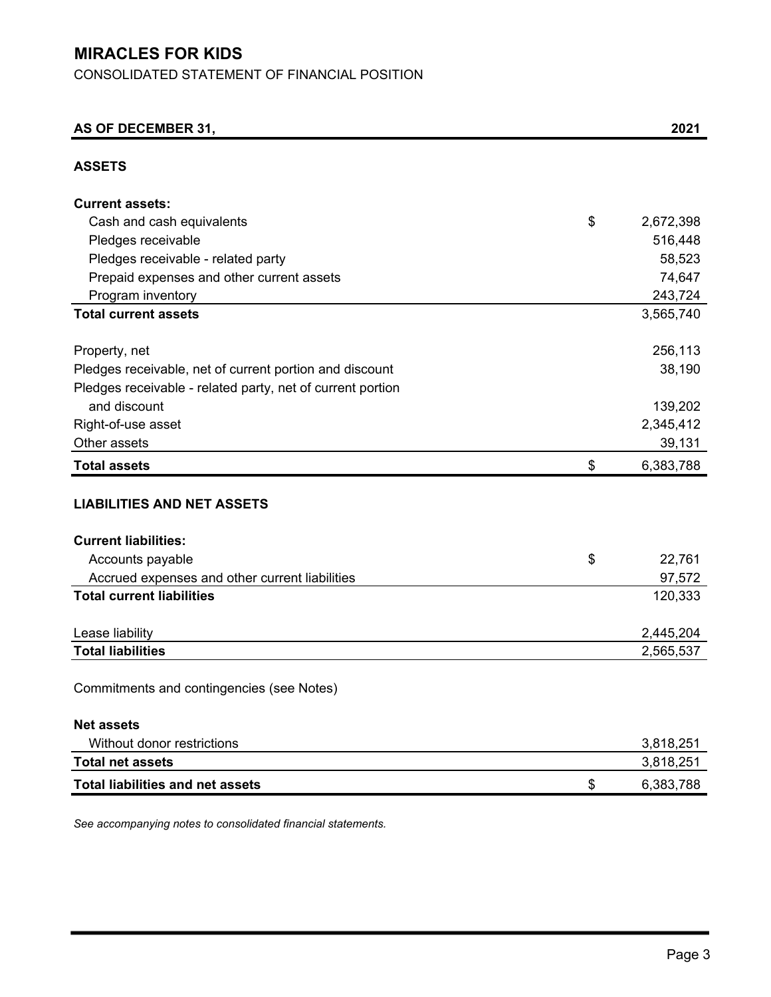CONSOLIDATED STATEMENT OF FINANCIAL POSITION

# **AS OF DECEMBER 31, 2021 ASSETS Current assets:** Cash and cash equivalents **Access 2,672,398** Cash and cash equivalents Pledges receivable 616,448 and 516,448 and 516,448 and 516,448 and 516,448 and 516,448 and 516,448 and 516,448  $\sim$ Pledges receivable - related party 58,523 Prepaid expenses and other current assets 74,647 Program inventory 243,724 **Total current assets** 3,565,740 Property, net 256,113 Pledges receivable, net of current portion and discount 38,190 Pledges receivable - related party, net of current portion and discount 139,202 Right-of-use asset 2,345,412 Other assets 39,131 **Total assets** \$ 6,383,788 **LIABILITIES AND NET ASSETS Current liabilities:** Accounts payable 22,761 Accrued expenses and other current liabilities **Accrued expenses** and other current liabilities **97,572 Total current liabilities** 120,333 Lease liability 2,445,204 **Total liabilities** 2,565,537 Commitments and contingencies (see Notes) **Net assets**

| Without donor restrictions       | 3,818,251 |
|----------------------------------|-----------|
| <b>Total net assets</b>          | 3,818,251 |
| Total liabilities and net assets | 6,383,788 |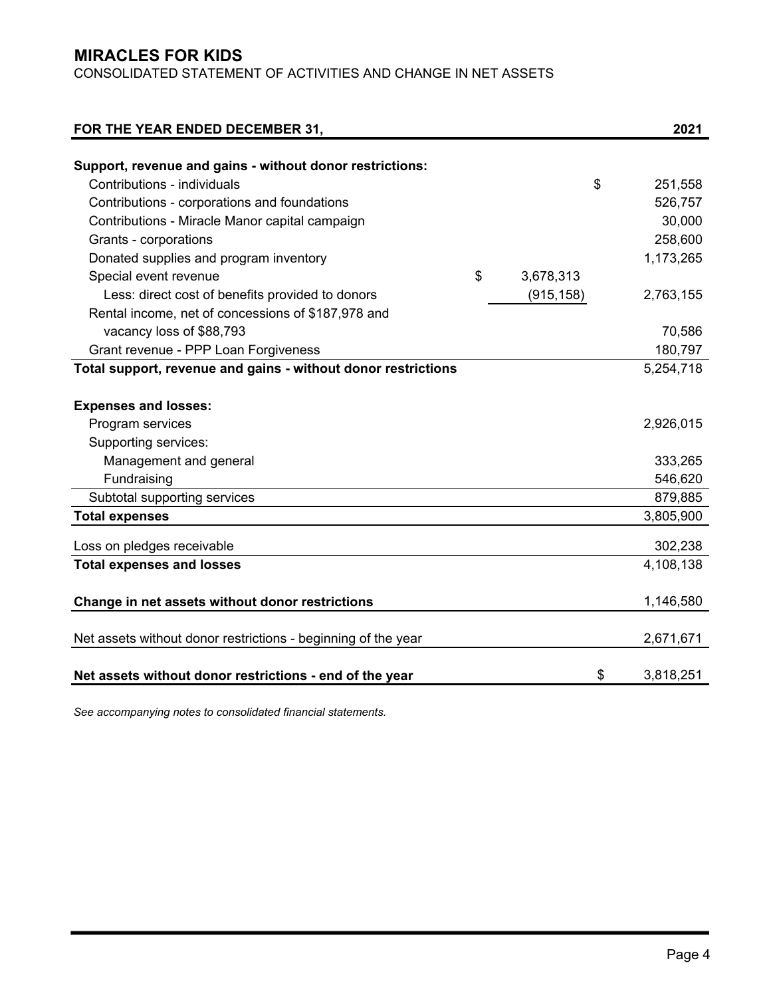CONSOLIDATED STATEMENT OF ACTIVITIES AND CHANGE IN NET ASSETS

| FOR THE YEAR ENDED DECEMBER 31,                               |                 | 2021            |
|---------------------------------------------------------------|-----------------|-----------------|
|                                                               |                 |                 |
| Support, revenue and gains - without donor restrictions:      |                 |                 |
| Contributions - individuals                                   |                 | \$<br>251,558   |
| Contributions - corporations and foundations                  |                 | 526,757         |
| Contributions - Miracle Manor capital campaign                |                 | 30,000          |
| Grants - corporations                                         |                 | 258,600         |
| Donated supplies and program inventory                        |                 | 1,173,265       |
| Special event revenue                                         | \$<br>3,678,313 |                 |
| Less: direct cost of benefits provided to donors              | (915, 158)      | 2,763,155       |
| Rental income, net of concessions of \$187,978 and            |                 |                 |
| vacancy loss of \$88,793                                      |                 | 70,586          |
| Grant revenue - PPP Loan Forgiveness                          |                 | 180,797         |
| Total support, revenue and gains - without donor restrictions |                 | 5,254,718       |
|                                                               |                 |                 |
| <b>Expenses and losses:</b>                                   |                 |                 |
| Program services                                              |                 | 2,926,015       |
| Supporting services:                                          |                 |                 |
| Management and general                                        |                 | 333,265         |
| Fundraising                                                   |                 | 546,620         |
| Subtotal supporting services                                  |                 | 879,885         |
| <b>Total expenses</b>                                         |                 | 3,805,900       |
| Loss on pledges receivable                                    |                 | 302,238         |
| <b>Total expenses and losses</b>                              |                 | 4,108,138       |
|                                                               |                 |                 |
| Change in net assets without donor restrictions               |                 | 1,146,580       |
|                                                               |                 |                 |
| Net assets without donor restrictions - beginning of the year |                 | 2,671,671       |
|                                                               |                 |                 |
| Net assets without donor restrictions - end of the year       |                 | \$<br>3,818,251 |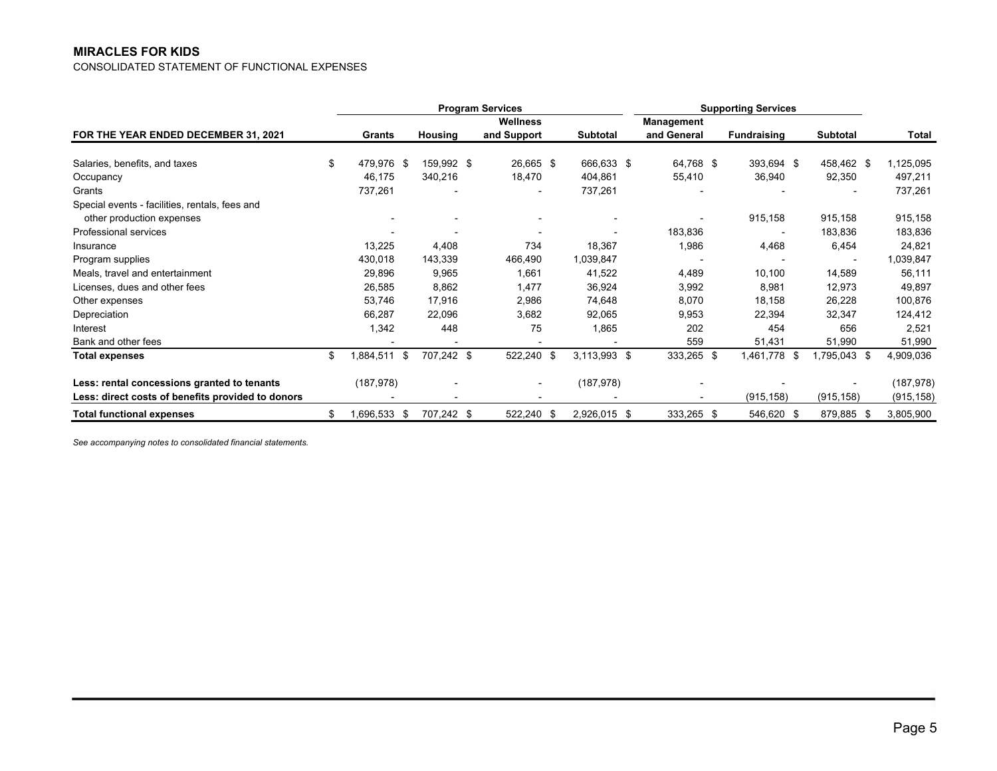CONSOLIDATED STATEMENT OF FUNCTIONAL EXPENSES

|                                                   |                   |                | <b>Program Services</b>  |      |                 |                                  | <b>Supporting Services</b> |                 |            |
|---------------------------------------------------|-------------------|----------------|--------------------------|------|-----------------|----------------------------------|----------------------------|-----------------|------------|
| FOR THE YEAR ENDED DECEMBER 31, 2021              | Grants            | Housina        | Wellness<br>and Support  |      | <b>Subtotal</b> | <b>Management</b><br>and General | <b>Fundraising</b>         | <b>Subtotal</b> | Total      |
| Salaries, benefits, and taxes                     | \$<br>479,976 \$  | 159,992 \$     | 26,665 \$                |      | 666,633 \$      | 64,768 \$                        | 393,694 \$                 | 458,462 \$      | 1,125,095  |
| Occupancy                                         | 46,175            | 340,216        | 18,470                   |      | 404,861         | 55,410                           | 36,940                     | 92,350          | 497,211    |
| Grants                                            | 737,261           |                | $\blacksquare$           |      | 737,261         |                                  |                            |                 | 737,261    |
| Special events - facilities, rentals, fees and    |                   |                |                          |      |                 |                                  |                            |                 |            |
| other production expenses                         |                   |                |                          |      |                 | $\overline{\phantom{0}}$         | 915,158                    | 915,158         | 915,158    |
| Professional services                             |                   |                |                          |      |                 | 183,836                          |                            | 183,836         | 183,836    |
| Insurance                                         | 13,225            | 4,408          | 734                      |      | 18,367          | 1,986                            | 4,468                      | 6,454           | 24,821     |
| Program supplies                                  | 430,018           | 143,339        | 466,490                  |      | 1,039,847       | $\overline{\phantom{0}}$         |                            |                 | 1,039,847  |
| Meals, travel and entertainment                   | 29,896            | 9,965          | 1,661                    |      | 41,522          | 4,489                            | 10,100                     | 14,589          | 56,111     |
| Licenses, dues and other fees                     | 26,585            | 8,862          | 1,477                    |      | 36,924          | 3,992                            | 8,981                      | 12,973          | 49,897     |
| Other expenses                                    | 53,746            | 17,916         | 2,986                    |      | 74,648          | 8,070                            | 18,158                     | 26,228          | 100,876    |
| Depreciation                                      | 66,287            | 22,096         | 3,682                    |      | 92,065          | 9,953                            | 22,394                     | 32,347          | 124,412    |
| Interest                                          | 1,342             | 448            | 75                       |      | 1,865           | 202                              | 454                        | 656             | 2,521      |
| Bank and other fees                               |                   | $\blacksquare$ |                          |      |                 | 559                              | 51,431                     | 51,990          | 51,990     |
| <b>Total expenses</b>                             | \$<br>,884,511 \$ | 707,242 \$     | 522,240 \$               |      | 3,113,993 \$    | 333,265 \$                       | 1,461,778 \$               | 1,795,043 \$    | 4,909,036  |
| Less: rental concessions granted to tenants       | (187, 978)        |                | $\blacksquare$           |      | (187, 978)      |                                  |                            |                 | (187, 978) |
| Less: direct costs of benefits provided to donors |                   |                | $\overline{\phantom{0}}$ |      |                 | $\blacksquare$                   | (915, 158)                 | (915, 158)      | (915, 158) |
| <b>Total functional expenses</b>                  | \$<br>,696,533 \$ | 707,242 \$     | 522,240                  | - \$ | 2,926,015 \$    | 333,265 \$                       | 546,620 \$                 | 879,885 \$      | 3,805,900  |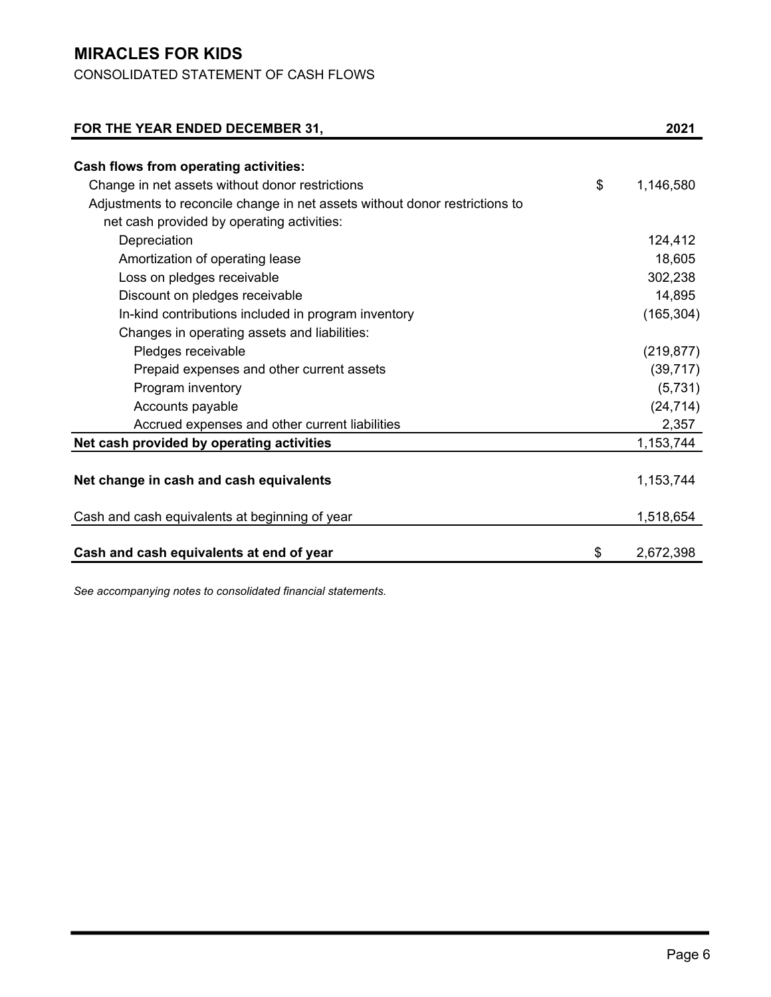CONSOLIDATED STATEMENT OF CASH FLOWS

| FOR THE YEAR ENDED DECEMBER 31,                                             | 2021            |
|-----------------------------------------------------------------------------|-----------------|
|                                                                             |                 |
| <b>Cash flows from operating activities:</b>                                |                 |
| Change in net assets without donor restrictions                             | \$<br>1,146,580 |
| Adjustments to reconcile change in net assets without donor restrictions to |                 |
| net cash provided by operating activities:                                  |                 |
| Depreciation                                                                | 124,412         |
| Amortization of operating lease                                             | 18,605          |
| Loss on pledges receivable                                                  | 302,238         |
| Discount on pledges receivable                                              | 14,895          |
| In-kind contributions included in program inventory                         | (165, 304)      |
| Changes in operating assets and liabilities:                                |                 |
| Pledges receivable                                                          | (219, 877)      |
| Prepaid expenses and other current assets                                   | (39, 717)       |
| Program inventory                                                           | (5, 731)        |
| Accounts payable                                                            | (24, 714)       |
| Accrued expenses and other current liabilities                              | 2,357           |
| Net cash provided by operating activities                                   | 1,153,744       |
|                                                                             |                 |
| Net change in cash and cash equivalents                                     | 1,153,744       |
| Cash and cash equivalents at beginning of year                              | 1,518,654       |
| Cash and cash equivalents at end of year                                    | \$<br>2,672,398 |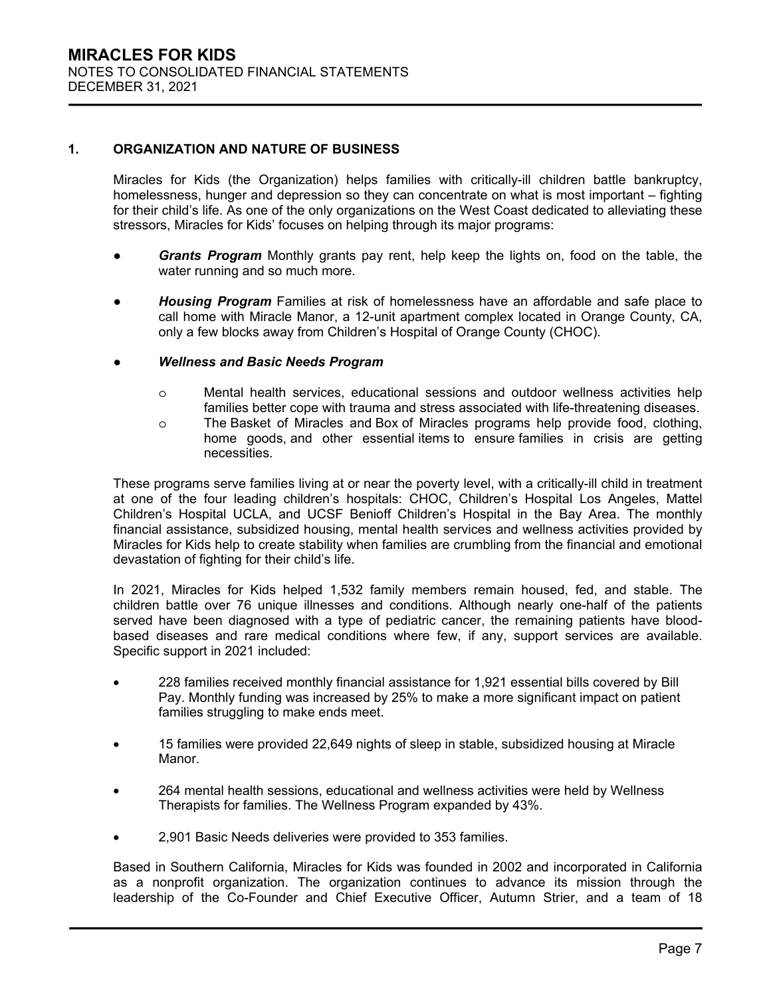# **1. ORGANIZATION AND NATURE OF BUSINESS**

Miracles for Kids (the Organization) helps families with critically-ill children battle bankruptcy, homelessness, hunger and depression so they can concentrate on what is most important – fighting for their child's life. As one of the only organizations on the West Coast dedicated to alleviating these stressors, Miracles for Kids' focuses on helping through its major programs:

- **Grants Program** Monthly grants pay rent, help keep the lights on, food on the table, the water running and so much more.
- *Housing Program* Families at risk of homelessness have an affordable and safe place to call home with Miracle Manor, a 12-unit apartment complex located in Orange County, CA, only a few blocks away from Children's Hospital of Orange County (CHOC).

#### ● *Wellness and Basic Needs Program*

- o Mental health services, educational sessions and outdoor wellness activities help families better cope with trauma and stress associated with life-threatening diseases.
- o The Basket of Miracles and Box of Miracles programs help provide food, clothing, home goods, and other essential items to ensure families in crisis are getting necessities.

These programs serve families living at or near the poverty level, with a critically-ill child in treatment at one of the four leading children's hospitals: CHOC, Children's Hospital Los Angeles, Mattel Children's Hospital UCLA, and UCSF Benioff Children's Hospital in the Bay Area. The monthly financial assistance, subsidized housing, mental health services and wellness activities provided by Miracles for Kids help to create stability when families are crumbling from the financial and emotional devastation of fighting for their child's life.

In 2021, Miracles for Kids helped 1,532 family members remain housed, fed, and stable. The children battle over 76 unique illnesses and conditions. Although nearly one-half of the patients served have been diagnosed with a type of pediatric cancer, the remaining patients have bloodbased diseases and rare medical conditions where few, if any, support services are available. Specific support in 2021 included:

- 228 families received monthly financial assistance for 1,921 essential bills covered by Bill Pay. Monthly funding was increased by 25% to make a more significant impact on patient families struggling to make ends meet.
- 15 families were provided 22,649 nights of sleep in stable, subsidized housing at Miracle Manor.
- 264 mental health sessions, educational and wellness activities were held by Wellness Therapists for families. The Wellness Program expanded by 43%.
- 2,901 Basic Needs deliveries were provided to 353 families.

Based in Southern California, Miracles for Kids was founded in 2002 and incorporated in California as a nonprofit organization. The organization continues to advance its mission through the leadership of the Co-Founder and Chief Executive Officer, Autumn Strier, and a team of 18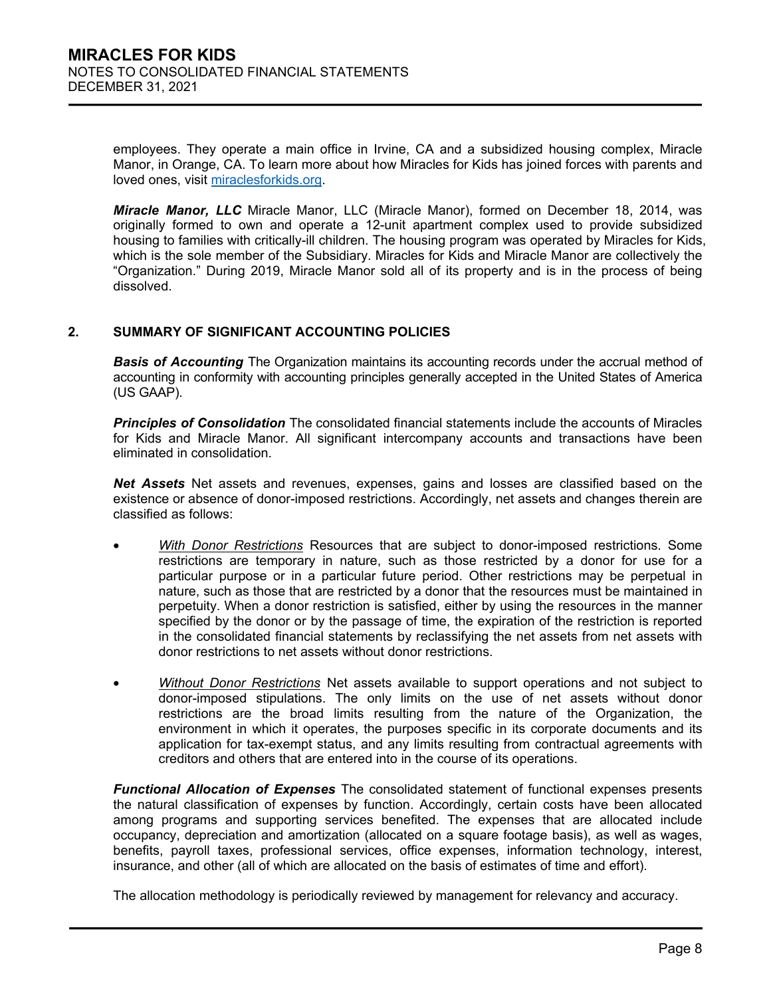employees. They operate a main office in Irvine, CA and a subsidized housing complex, Miracle Manor, in Orange, CA. To learn more about how Miracles for Kids has joined forces with parents and loved ones, visit miraclesforkids.org.

*Miracle Manor, LLC* Miracle Manor, LLC (Miracle Manor), formed on December 18, 2014, was originally formed to own and operate a 12-unit apartment complex used to provide subsidized housing to families with critically-ill children. The housing program was operated by Miracles for Kids, which is the sole member of the Subsidiary. Miracles for Kids and Miracle Manor are collectively the "Organization." During 2019, Miracle Manor sold all of its property and is in the process of being dissolved.

# **2. SUMMARY OF SIGNIFICANT ACCOUNTING POLICIES**

**Basis of Accounting** The Organization maintains its accounting records under the accrual method of accounting in conformity with accounting principles generally accepted in the United States of America (US GAAP).

*Principles of Consolidation* The consolidated financial statements include the accounts of Miracles for Kids and Miracle Manor. All significant intercompany accounts and transactions have been eliminated in consolidation.

*Net Assets* Net assets and revenues, expenses, gains and losses are classified based on the existence or absence of donor-imposed restrictions. Accordingly, net assets and changes therein are classified as follows:

- *With Donor Restrictions* Resources that are subject to donor-imposed restrictions. Some restrictions are temporary in nature, such as those restricted by a donor for use for a particular purpose or in a particular future period. Other restrictions may be perpetual in nature, such as those that are restricted by a donor that the resources must be maintained in perpetuity. When a donor restriction is satisfied, either by using the resources in the manner specified by the donor or by the passage of time, the expiration of the restriction is reported in the consolidated financial statements by reclassifying the net assets from net assets with donor restrictions to net assets without donor restrictions.
- *Without Donor Restrictions* Net assets available to support operations and not subject to donor-imposed stipulations. The only limits on the use of net assets without donor restrictions are the broad limits resulting from the nature of the Organization, the environment in which it operates, the purposes specific in its corporate documents and its application for tax-exempt status, and any limits resulting from contractual agreements with creditors and others that are entered into in the course of its operations.

*Functional Allocation of Expenses* The consolidated statement of functional expenses presents the natural classification of expenses by function. Accordingly, certain costs have been allocated among programs and supporting services benefited. The expenses that are allocated include occupancy, depreciation and amortization (allocated on a square footage basis), as well as wages, benefits, payroll taxes, professional services, office expenses, information technology, interest, insurance, and other (all of which are allocated on the basis of estimates of time and effort).

The allocation methodology is periodically reviewed by management for relevancy and accuracy.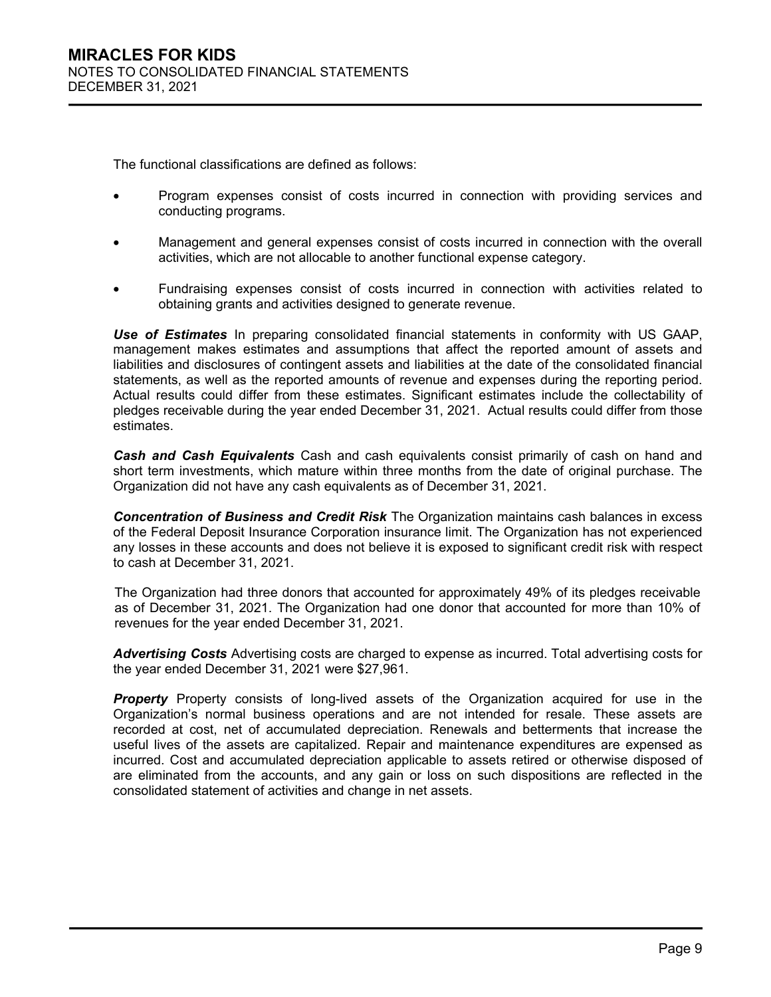The functional classifications are defined as follows:

- Program expenses consist of costs incurred in connection with providing services and conducting programs.
- Management and general expenses consist of costs incurred in connection with the overall activities, which are not allocable to another functional expense category.
- Fundraising expenses consist of costs incurred in connection with activities related to obtaining grants and activities designed to generate revenue.

*Use of Estimates* In preparing consolidated financial statements in conformity with US GAAP, management makes estimates and assumptions that affect the reported amount of assets and liabilities and disclosures of contingent assets and liabilities at the date of the consolidated financial statements, as well as the reported amounts of revenue and expenses during the reporting period. Actual results could differ from these estimates. Significant estimates include the collectability of pledges receivable during the year ended December 31, 2021. Actual results could differ from those estimates.

*Cash and Cash Equivalents* Cash and cash equivalents consist primarily of cash on hand and short term investments, which mature within three months from the date of original purchase. The Organization did not have any cash equivalents as of December 31, 2021.

*Concentration of Business and Credit Risk* The Organization maintains cash balances in excess of the Federal Deposit Insurance Corporation insurance limit. The Organization has not experienced any losses in these accounts and does not believe it is exposed to significant credit risk with respect to cash at December 31, 2021.

The Organization had three donors that accounted for approximately 49% of its pledges receivable as of December 31, 2021. The Organization had one donor that accounted for more than 10% of revenues for the year ended December 31, 2021.

*Advertising Costs* Advertising costs are charged to expense as incurred. Total advertising costs for the year ended December 31, 2021 were \$27,961.

**Property** Property consists of long-lived assets of the Organization acquired for use in the Organization's normal business operations and are not intended for resale. These assets are recorded at cost, net of accumulated depreciation. Renewals and betterments that increase the useful lives of the assets are capitalized. Repair and maintenance expenditures are expensed as incurred. Cost and accumulated depreciation applicable to assets retired or otherwise disposed of are eliminated from the accounts, and any gain or loss on such dispositions are reflected in the consolidated statement of activities and change in net assets.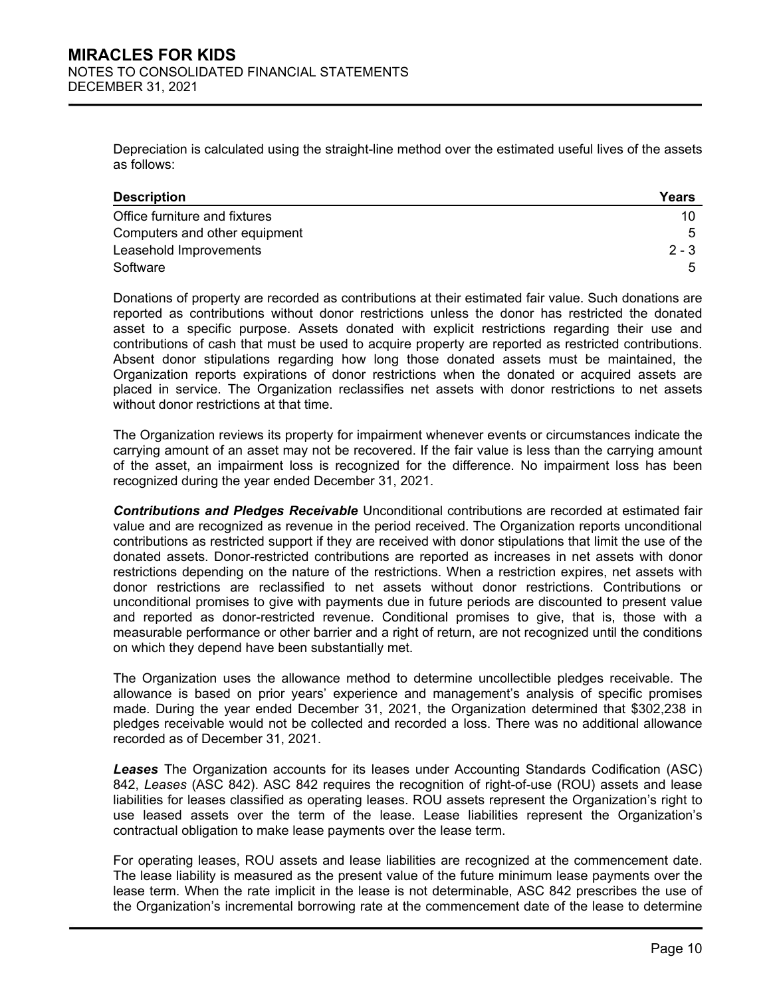Depreciation is calculated using the straight-line method over the estimated useful lives of the assets as follows:

| <b>Description</b>            | Years   |
|-------------------------------|---------|
| Office furniture and fixtures | 10      |
| Computers and other equipment | Б.      |
| Leasehold Improvements        | $2 - 3$ |
| Software                      |         |

Donations of property are recorded as contributions at their estimated fair value. Such donations are reported as contributions without donor restrictions unless the donor has restricted the donated asset to a specific purpose. Assets donated with explicit restrictions regarding their use and contributions of cash that must be used to acquire property are reported as restricted contributions. Absent donor stipulations regarding how long those donated assets must be maintained, the Organization reports expirations of donor restrictions when the donated or acquired assets are placed in service. The Organization reclassifies net assets with donor restrictions to net assets without donor restrictions at that time.

The Organization reviews its property for impairment whenever events or circumstances indicate the carrying amount of an asset may not be recovered. If the fair value is less than the carrying amount of the asset, an impairment loss is recognized for the difference. No impairment loss has been recognized during the year ended December 31, 2021.

*Contributions and Pledges Receivable* Unconditional contributions are recorded at estimated fair value and are recognized as revenue in the period received. The Organization reports unconditional contributions as restricted support if they are received with donor stipulations that limit the use of the donated assets. Donor-restricted contributions are reported as increases in net assets with donor restrictions depending on the nature of the restrictions. When a restriction expires, net assets with donor restrictions are reclassified to net assets without donor restrictions. Contributions or unconditional promises to give with payments due in future periods are discounted to present value and reported as donor-restricted revenue. Conditional promises to give, that is, those with a measurable performance or other barrier and a right of return, are not recognized until the conditions on which they depend have been substantially met.

The Organization uses the allowance method to determine uncollectible pledges receivable. The allowance is based on prior years' experience and management's analysis of specific promises made. During the year ended December 31, 2021, the Organization determined that \$302,238 in pledges receivable would not be collected and recorded a loss. There was no additional allowance recorded as of December 31, 2021.

*Leases* The Organization accounts for its leases under Accounting Standards Codification (ASC) 842, *Leases* (ASC 842). ASC 842 requires the recognition of right-of-use (ROU) assets and lease liabilities for leases classified as operating leases. ROU assets represent the Organization's right to use leased assets over the term of the lease. Lease liabilities represent the Organization's contractual obligation to make lease payments over the lease term.

For operating leases, ROU assets and lease liabilities are recognized at the commencement date. The lease liability is measured as the present value of the future minimum lease payments over the lease term. When the rate implicit in the lease is not determinable, ASC 842 prescribes the use of the Organization's incremental borrowing rate at the commencement date of the lease to determine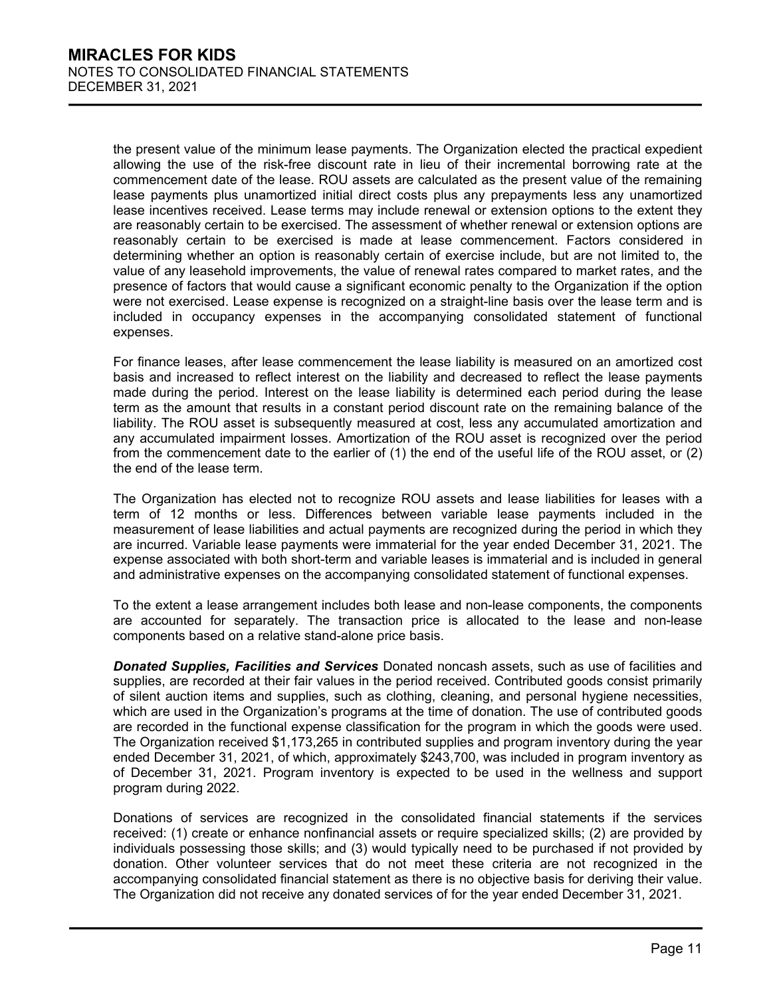the present value of the minimum lease payments. The Organization elected the practical expedient allowing the use of the risk-free discount rate in lieu of their incremental borrowing rate at the commencement date of the lease. ROU assets are calculated as the present value of the remaining lease payments plus unamortized initial direct costs plus any prepayments less any unamortized lease incentives received. Lease terms may include renewal or extension options to the extent they are reasonably certain to be exercised. The assessment of whether renewal or extension options are reasonably certain to be exercised is made at lease commencement. Factors considered in determining whether an option is reasonably certain of exercise include, but are not limited to, the value of any leasehold improvements, the value of renewal rates compared to market rates, and the presence of factors that would cause a significant economic penalty to the Organization if the option were not exercised. Lease expense is recognized on a straight-line basis over the lease term and is included in occupancy expenses in the accompanying consolidated statement of functional expenses.

For finance leases, after lease commencement the lease liability is measured on an amortized cost basis and increased to reflect interest on the liability and decreased to reflect the lease payments made during the period. Interest on the lease liability is determined each period during the lease term as the amount that results in a constant period discount rate on the remaining balance of the liability. The ROU asset is subsequently measured at cost, less any accumulated amortization and any accumulated impairment losses. Amortization of the ROU asset is recognized over the period from the commencement date to the earlier of (1) the end of the useful life of the ROU asset, or (2) the end of the lease term.

The Organization has elected not to recognize ROU assets and lease liabilities for leases with a term of 12 months or less. Differences between variable lease payments included in the measurement of lease liabilities and actual payments are recognized during the period in which they are incurred. Variable lease payments were immaterial for the year ended December 31, 2021. The expense associated with both short-term and variable leases is immaterial and is included in general and administrative expenses on the accompanying consolidated statement of functional expenses.

To the extent a lease arrangement includes both lease and non-lease components, the components are accounted for separately. The transaction price is allocated to the lease and non-lease components based on a relative stand-alone price basis.

*Donated Supplies, Facilities and Services* Donated noncash assets, such as use of facilities and supplies, are recorded at their fair values in the period received. Contributed goods consist primarily of silent auction items and supplies, such as clothing, cleaning, and personal hygiene necessities, which are used in the Organization's programs at the time of donation. The use of contributed goods are recorded in the functional expense classification for the program in which the goods were used. The Organization received \$1,173,265 in contributed supplies and program inventory during the year ended December 31, 2021, of which, approximately \$243,700, was included in program inventory as of December 31, 2021. Program inventory is expected to be used in the wellness and support program during 2022.

Donations of services are recognized in the consolidated financial statements if the services received: (1) create or enhance nonfinancial assets or require specialized skills; (2) are provided by individuals possessing those skills; and (3) would typically need to be purchased if not provided by donation. Other volunteer services that do not meet these criteria are not recognized in the accompanying consolidated financial statement as there is no objective basis for deriving their value. The Organization did not receive any donated services of for the year ended December 31, 2021.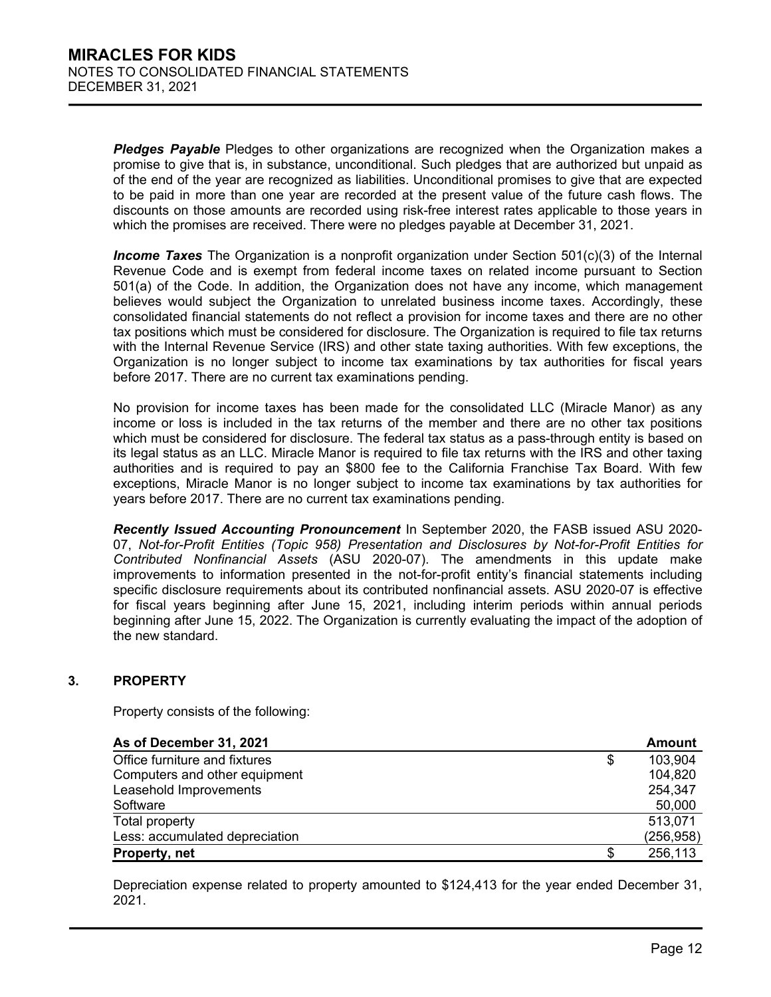*Pledges Payable* Pledges to other organizations are recognized when the Organization makes a promise to give that is, in substance, unconditional. Such pledges that are authorized but unpaid as of the end of the year are recognized as liabilities. Unconditional promises to give that are expected to be paid in more than one year are recorded at the present value of the future cash flows. The discounts on those amounts are recorded using risk-free interest rates applicable to those years in which the promises are received. There were no pledges payable at December 31, 2021.

*Income Taxes* The Organization is a nonprofit organization under Section 501(c)(3) of the Internal Revenue Code and is exempt from federal income taxes on related income pursuant to Section 501(a) of the Code. In addition, the Organization does not have any income, which management believes would subject the Organization to unrelated business income taxes. Accordingly, these consolidated financial statements do not reflect a provision for income taxes and there are no other tax positions which must be considered for disclosure. The Organization is required to file tax returns with the Internal Revenue Service (IRS) and other state taxing authorities. With few exceptions, the Organization is no longer subject to income tax examinations by tax authorities for fiscal years before 2017. There are no current tax examinations pending.

No provision for income taxes has been made for the consolidated LLC (Miracle Manor) as any income or loss is included in the tax returns of the member and there are no other tax positions which must be considered for disclosure. The federal tax status as a pass-through entity is based on its legal status as an LLC. Miracle Manor is required to file tax returns with the IRS and other taxing authorities and is required to pay an \$800 fee to the California Franchise Tax Board. With few exceptions, Miracle Manor is no longer subject to income tax examinations by tax authorities for years before 2017. There are no current tax examinations pending.

*Recently Issued Accounting Pronouncement* In September 2020, the FASB issued ASU 2020- 07, *Not-for-Profit Entities (Topic 958) Presentation and Disclosures by Not-for-Profit Entities for Contributed Nonfinancial Assets* (ASU 2020-07). The amendments in this update make improvements to information presented in the not-for-profit entity's financial statements including specific disclosure requirements about its contributed nonfinancial assets. ASU 2020-07 is effective for fiscal years beginning after June 15, 2021, including interim periods within annual periods beginning after June 15, 2022. The Organization is currently evaluating the impact of the adoption of the new standard.

# **3. PROPERTY**

Property consists of the following:

| As of December 31, 2021        | <b>Amount</b> |
|--------------------------------|---------------|
| Office furniture and fixtures  | 103,904       |
| Computers and other equipment  | 104.820       |
| Leasehold Improvements         | 254,347       |
| Software                       | 50,000        |
| Total property                 | 513,071       |
| Less: accumulated depreciation | (256, 958)    |
| Property, net                  | 256,113       |

Depreciation expense related to property amounted to \$124,413 for the year ended December 31, 2021.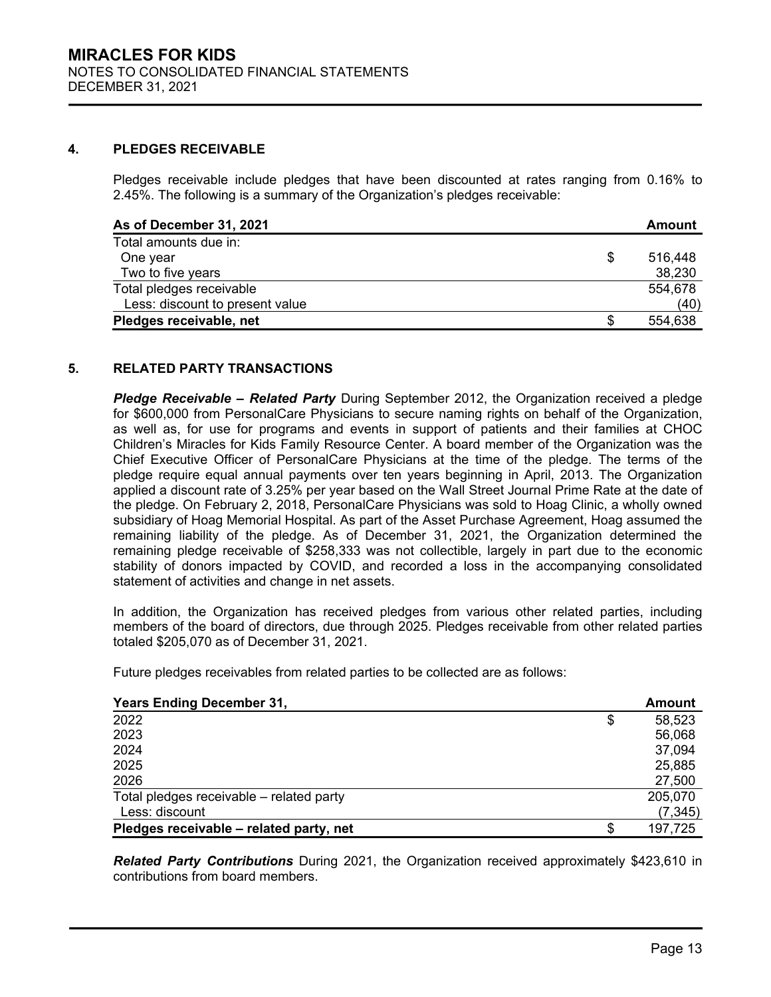#### **4. PLEDGES RECEIVABLE**

Pledges receivable include pledges that have been discounted at rates ranging from 0.16% to 2.45%. The following is a summary of the Organization's pledges receivable:

| As of December 31, 2021         |   | Amount  |
|---------------------------------|---|---------|
| Total amounts due in:           |   |         |
| One year                        | S | 516,448 |
| Two to five years               |   | 38,230  |
| Total pledges receivable        |   | 554,678 |
| Less: discount to present value |   | (40)    |
| Pledges receivable, net         |   | 554,638 |

# **5. RELATED PARTY TRANSACTIONS**

*Pledge Receivable – Related Party* During September 2012, the Organization received a pledge for \$600,000 from PersonalCare Physicians to secure naming rights on behalf of the Organization, as well as, for use for programs and events in support of patients and their families at CHOC Children's Miracles for Kids Family Resource Center. A board member of the Organization was the Chief Executive Officer of PersonalCare Physicians at the time of the pledge. The terms of the pledge require equal annual payments over ten years beginning in April, 2013. The Organization applied a discount rate of 3.25% per year based on the Wall Street Journal Prime Rate at the date of the pledge. On February 2, 2018, PersonalCare Physicians was sold to Hoag Clinic, a wholly owned subsidiary of Hoag Memorial Hospital. As part of the Asset Purchase Agreement, Hoag assumed the remaining liability of the pledge. As of December 31, 2021, the Organization determined the remaining pledge receivable of \$258,333 was not collectible, largely in part due to the economic stability of donors impacted by COVID, and recorded a loss in the accompanying consolidated statement of activities and change in net assets.

In addition, the Organization has received pledges from various other related parties, including members of the board of directors, due through 2025. Pledges receivable from other related parties totaled \$205,070 as of December 31, 2021.

Future pledges receivables from related parties to be collected are as follows:

| <b>Years Ending December 31,</b>         | Amount   |
|------------------------------------------|----------|
| 2022<br>S                                | 58,523   |
| 2023                                     | 56,068   |
| 2024                                     | 37,094   |
| 2025                                     | 25,885   |
| 2026                                     | 27,500   |
| Total pledges receivable – related party | 205,070  |
| Less: discount                           | (7, 345) |
| Pledges receivable - related party, net  | 197,725  |

*Related Party Contributions* During 2021, the Organization received approximately \$423,610 in contributions from board members.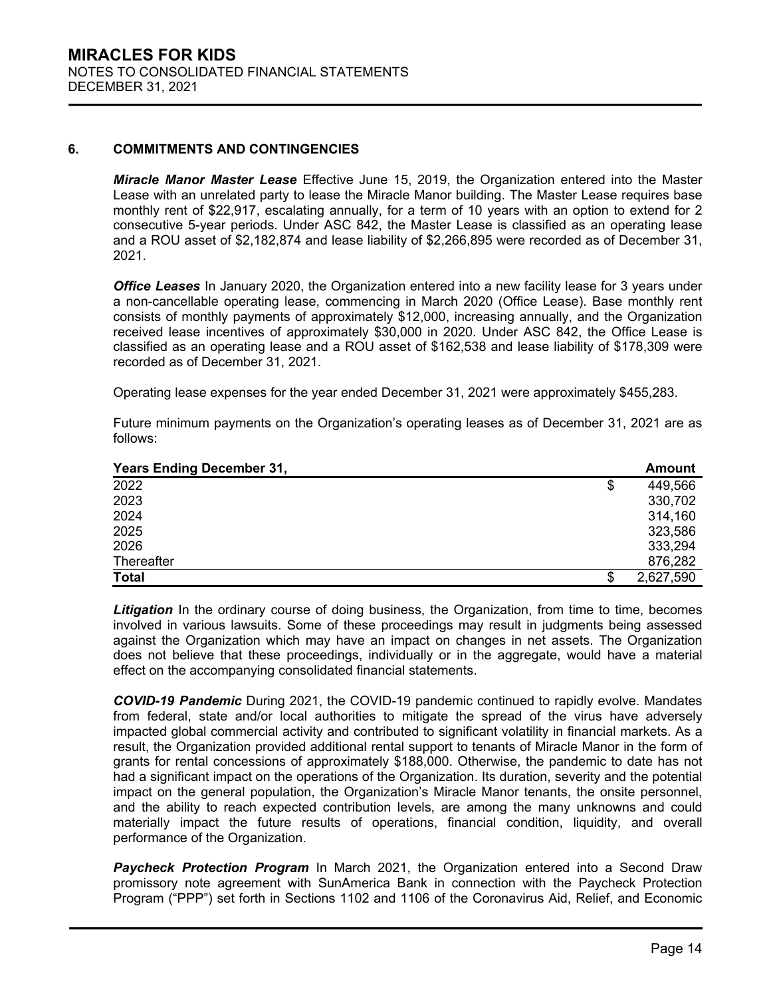#### **6. COMMITMENTS AND CONTINGENCIES**

*Miracle Manor Master Lease* Effective June 15, 2019, the Organization entered into the Master Lease with an unrelated party to lease the Miracle Manor building. The Master Lease requires base monthly rent of \$22,917, escalating annually, for a term of 10 years with an option to extend for 2 consecutive 5-year periods. Under ASC 842, the Master Lease is classified as an operating lease and a ROU asset of \$2,182,874 and lease liability of \$2,266,895 were recorded as of December 31, 2021.

*Office Leases* In January 2020, the Organization entered into a new facility lease for 3 years under a non-cancellable operating lease, commencing in March 2020 (Office Lease). Base monthly rent consists of monthly payments of approximately \$12,000, increasing annually, and the Organization received lease incentives of approximately \$30,000 in 2020. Under ASC 842, the Office Lease is classified as an operating lease and a ROU asset of \$162,538 and lease liability of \$178,309 were recorded as of December 31, 2021.

Operating lease expenses for the year ended December 31, 2021 were approximately \$455,283.

Future minimum payments on the Organization's operating leases as of December 31, 2021 are as follows:

| <b>Years Ending December 31,</b> | Amount        |
|----------------------------------|---------------|
| 2022                             | \$<br>449,566 |
| 2023                             | 330,702       |
| 2024                             | 314,160       |
| 2025                             | 323,586       |
| 2026                             | 333,294       |
| Thereafter                       | 876,282       |
| <b>Total</b>                     | 2,627,590     |

**Litigation** In the ordinary course of doing business, the Organization, from time to time, becomes involved in various lawsuits. Some of these proceedings may result in judgments being assessed against the Organization which may have an impact on changes in net assets. The Organization does not believe that these proceedings, individually or in the aggregate, would have a material effect on the accompanying consolidated financial statements.

*COVID-19 Pandemic* During 2021, the COVID-19 pandemic continued to rapidly evolve. Mandates from federal, state and/or local authorities to mitigate the spread of the virus have adversely impacted global commercial activity and contributed to significant volatility in financial markets. As a result, the Organization provided additional rental support to tenants of Miracle Manor in the form of grants for rental concessions of approximately \$188,000. Otherwise, the pandemic to date has not had a significant impact on the operations of the Organization. Its duration, severity and the potential impact on the general population, the Organization's Miracle Manor tenants, the onsite personnel, and the ability to reach expected contribution levels, are among the many unknowns and could materially impact the future results of operations, financial condition, liquidity, and overall performance of the Organization.

*Paycheck Protection Program* In March 2021, the Organization entered into a Second Draw promissory note agreement with SunAmerica Bank in connection with the Paycheck Protection Program ("PPP") set forth in Sections 1102 and 1106 of the Coronavirus Aid, Relief, and Economic